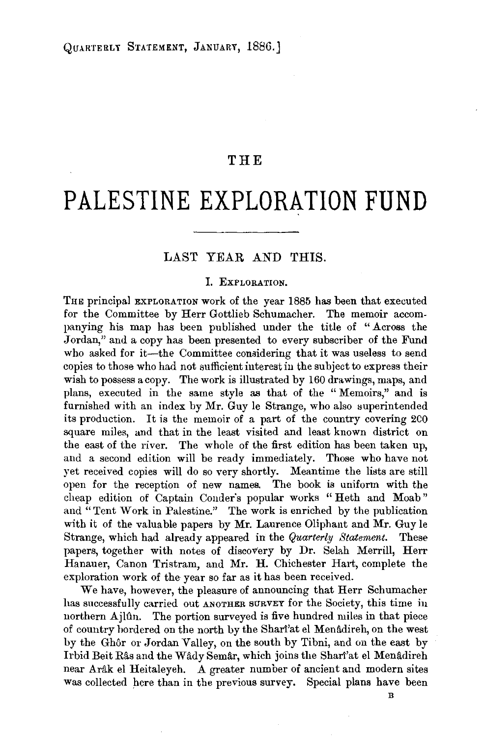## **THE**

# **PALESTINE EXPLORATION FUND**

## LAST YEAR AND THIS.

## J. EXPLORATION.

THE principal EXPLORATION work of the year 1885 has been that executed for the Committee by Herr Gottlieb Schumacher. The memoir accompanying his map has been published under the title of "Across the Jordan," and a copy has been presented to every subscriber of the Fund who asked for it-the Committee considering that it was useless to send copies to those who had not sufficient interest in the subject to express their wish to possess a copy. The work is illustrated by 160 drawings, maps, and plans, executed in the same style as that of the "Memoirs," and is furnished with an index by Mr. Guy le Strange, who also superintended its production. It is the memoir of a part of the country covering 200 square miles, and that in the least visited and least known district on the east of the river. The whole of the first edition has been taken up, and a second edition will be ready immediately. Those who have not yet received copies will do so very shortly. Meantime the lists are still open for the reception of new names. The book is uniform with the cheap edition of Captain Conder's popular works " Heth and Moab" and "Tent Work in Palestine." The work is enriched by the publication with it of the valuable papers by Mr. Laurence Oliphant and Mr. Guy le Strange, which had already appeared in the *Quarterly Staternent.* These papers, together with notes of discovery by Dr. Selah Merrill, Herr Hanauer, Canon Tristram, and Mr. H. Chichester Hart, complete the exploration work of the year so far as it has been received.

We have, however, the pleasure of announcing that Herr Schumacher has successfully carried out ANOTHER SURVEY for the Society, this time in northern Ajlûn. The portion surveyed is five hundred miles in that piece of country bordered on the north by the Shari'at el Menâdireh, on the west by the Ghôr or Jordan Valley, on the south by Tibni, and on the east by Irbid Beit Râs and the Wâdy Semâr, which joins the Shari'at el Menâdireh near Arâk el Heitaleyeh. A greater number of ancient and modern sites was collected here than in the previous survey. Special plans have been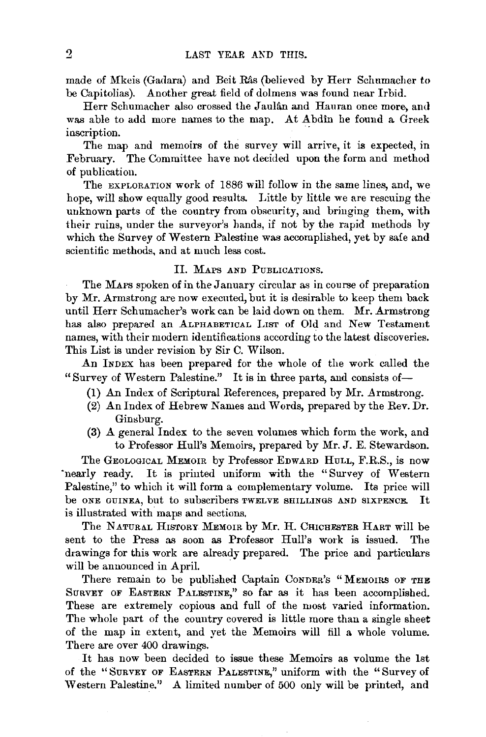made of Mkeis (Gadara) and Beit Has (believed by Herr Schumacher to be Capitolias). Another great field of dolmens was found near Irbid.

Herr Schumacher also crossed the Jaulan and Hauran once more, and was able to add more names to the map. At Abdin he found a Greek inscription.

The map and memoirs of the survey will arrive, it is expected, in February. The Committee have not decided upon the form and method of publication.

The EXPLORATION work of 1886 will follow in the same lines, and, we hope, will show equally good results. Little by little we are rescuing the unknown parts of the country from obscurity, and bringing them, with their ruins, under the surveyor's hands, if not by the rapid methods by which the Survey of Western Palestine was accomplished, yet by safe and scientific methods, and at much less cost.

#### Il. MAPS AND PUBLICATIONS.

The MAPS spoken of in the January circular as in course of preparation by Mr. Armstrong are now executed, but it is desirable to keep them back until Herr Schumacher's work can be laid down on them. Mr. Armstrong has also prepared an ALPHABETICAL LIST of Old and New Testament names, with their modern identifications according to the latest discoveries. This List is under revision by Sir C. Wilson.

An INDEX has been prepared for the whole of the work called the "Survey of Western Palestine." It is in three parts, and consists of-

- (1) An Index of Scriptural References, prepared by Mr. Armstrong.
- (2) An Index of Hebrew Names and Words, prepared by the Rev. Dr. Ginsburg.
- (3) A general Index to the seven volumes which form the work, and to Professor Hull's Memoirs, prepared by Mr. J. E. Stewardson.

The GEOLOGICAL MEMOIR by Professor EDWARD HULL, F.R.S., is now nearly ready. It is printed uniform with the "Survey of Western" Palestine," to which it will form a complementary volume. Its price will be ONE GUINEA, but to subscribers TWELVE SHILLINGS AND SIXPENCE. Jt is illustrated with maps and sections.

The NATURAL HISTORY MEMOIR by Mr. H. CHICHESTER HART will be sent to the Press as soon as Professor Hull's work is issued. The drawings for this work are already prepared. The price and particulars will be announced in April.

There remain to be published Captain CONDER's "MEMOIRS OF THE SURVEY OF EASTERN PALESTINE," so far as it has been accomplished. These are extremely copious and full of the most varied information. The whole part of the country covered is little more than a single sheet of the map in extent, and yet the Memoirs will fill a whole volume. There are over 400 drawings.

It has now been decided to issue these Memoirs as volume the 1st of the "SURVEY OF EASTERN PALESTINE," uniform with the "Survey of Western Palestine." A limited number of 500 only will be printed, and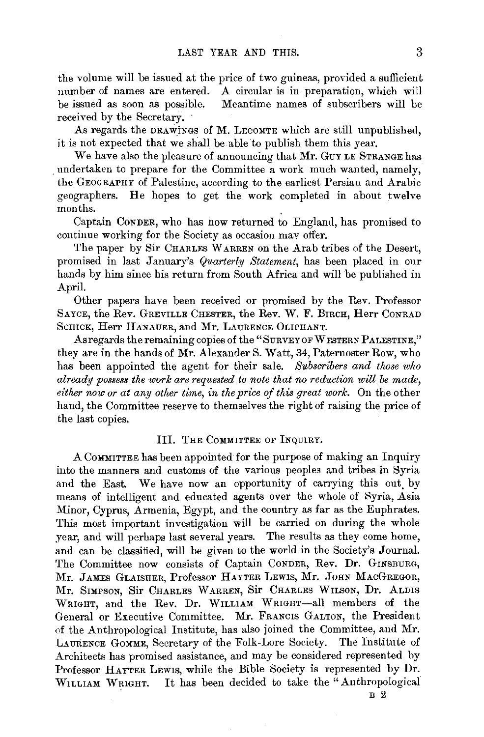the volume will be issued at the price of two guineas, provided a sufficient number of names are entered. A circular is in preparation, which will be issued as soon as possible. Meantime names of subscribers will be received by the Secretary.

As regards the DRAWiNGS of M. LEcOMTE which are still unpublished, it is not expected that we shall be able to publish them this year.

We have also the pleasure of announcing that Mr. GUY LE STRANGE has . undertaken to prepare for the Committee a work much wanted, namely, the GEOGRAPHY of Palestine, according to the earliest Persian and Arabic geographers. He hopes to get the work completed in about twelve months.

Captain CoNDER, who has now returned to England, has promised to continue working for the Society as occasion may offer.

The paper by Sir CHARLES WARREN on the Arab tribes of the Desert, promised in last January's *Quarterly Statement,* has been placed in onr hands by him since his return from South Africa and will be published in April.

Other papers have been received or promised by the Rev. Professor SAYCE, the Rev. GREVILLE CHESTER, the Rev. W. F. BIRcH, Herr CoNRAD ScHICK, Herr HANAUER, and Mr. LAURENCE 0LIPHANT.

As regards the remaining copies of the "SURVEY OF WESTERN PALESTINE," they are in the hands of Mr. Alexander S. Watt, 34, Paternoster Row, who has been appointed the agent for their sale. *Subscribers and those who already possess the ·work are requested to note that no reduction will be made,*  either now or at any other time, in the price of this great work. On the other hand, the Committee reserve to themselves the right of raising the price of the last copies.

#### III. THE COMMITTEE OF INQUIRY.

A CoMMITTEE has been appointed for the purpose of making an Inquiry into the manners and customs of the various peoples and tribes in Syria and the East. We have now an opportunity of carrying this out by means of intelligent and educated agents over the whole of Syria, Asia Minor, Cyprus, Armenia, Egypt, and the country as far as the Euphrates. This most important investigation will be carried on during the whole year, and will perhaps last several years. The results as they come home, and can be classified, will be given to the world in the Society's Journal. The Committee now consists of Captain CoNDER, Rev. Dr. GINSBURG, Mr. JAMES GLAISHER, Professor HAYTER LEWIS, Mr. JOHN MACGREGOR, Mr. SIMPSON, Sir CHARLES WARREN, Sir CHARLES WILSON, Dr. ALDIS WRIGHT, and the Rev. Dr. WILLIAM WRIGHT-all members of the General or Executive Committee. Mr. FRANCIS GALTON, the President of the Anthropological Institute, has also joined the Committee, and Mr. LAURENCE GoMME, Secretary of the Folk-Lore Society. The Institute of Architects has promised assistance, and may be considered represented by Professor HAYTER LEwrs, while the Bible Society is represented by Dr. WILLIAM WRIGHT. It has been decided to take the "Anthropological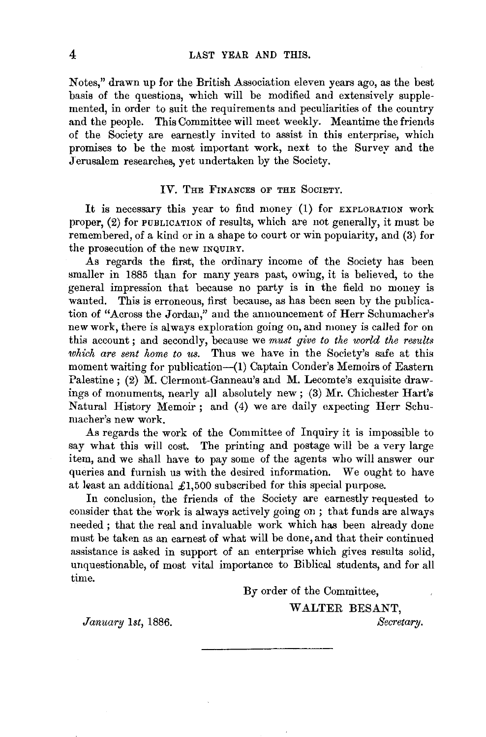Notes," drawn up for the British Association eleven years ago, as the best basis of the questions, which will be modified and extensively supplemented, in order to suit the requirements and peculiarities of the country and the people. This Committee will meet weekly. Meantime the friends of the Society are earnestly invited to assist in this enterprise, which promises to be the most important work, next to the Survey and the Jerusalem researches, yet undertaken by the Society.

#### IV. THE FINANCES OF THE SOCIETY.

It is necessary this year to find money (I) for EXPLORATION work proper, (2) for PUBLICATION of results, which are not generally, it must be remembered, of a kind or in a shape to court or win popularity, and (3) for the prosecution of the new INQUIRY.

As regards the first, the ordinary income of the Society has been smaller in 1885 than for many years past, owing, it is believed, to the general impression that because no party is in the field no money is wanted. This is erroneous, first because, as has been seen by the publication of "Across the Jordan," and the announcement of Herr Schumacher's new work, there is always exploration going on, and money is called for on this account; and secondly, because we *must give to the world the results which are sent home to us.* Thus we have in the Society's safe at this moment waiting for publication-(1) Captain Conder's Memoirs of Eastern Palestine ; (2) M. Clermont-Ganneau's and M. Lecomte's exquisite drawings of monuments, nearly all absolutely new; (3) Mr. Chichester Hart's Natural History Memoir; and (4) we are daily expecting Herr Schumacher's new work.

As regards the work of the Committee of Inquiry it is impossible to say what this will cost. The printing and postage will be a very large item, and we shall have to pay some of the agents who will answer our queries and furnish us with the desired information. We ought to have at least an additional  $\pounds1,500$  subscribed for this special purpose.

In conclusion, the friends of the Society are earnestly requested to consider that the work is always actively going on; that funds are always needed ; that the real and invaluable work which has been already done must be taken as an earnest of what will be done, and that their continued assistance is asked in support of an enterprise which gives results solid, unquestionable, of most vital importance to Biblical students, and for all time.

By order of the Committee,

W ALTER BESANT,

*January lst,* 1886.

*Secretary.*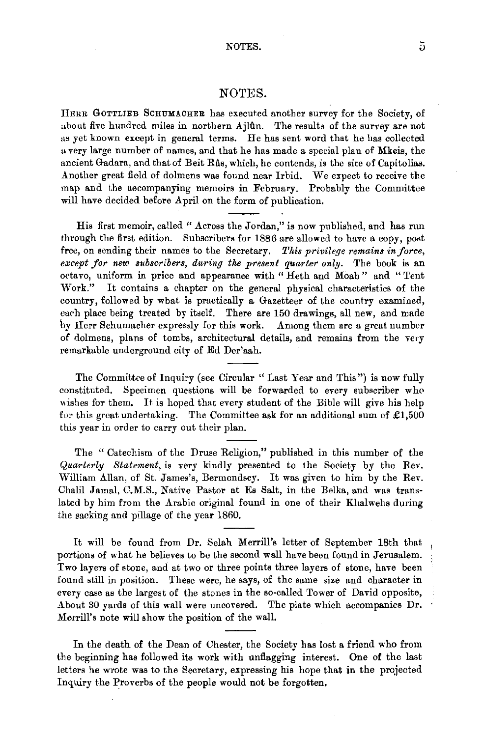#### NOTES.

liERR GOTTLIEB ScnuMACHER has executed another survey for the Society, of about five hundred miles in northern Ajlûn. The results of the survey are not as yet known except in general terms. He has sent word that he has collected a very large number of names, and that he has made a special plan of Mkeis, the ancient Gadara, and that of Beit Ras, which, he contends, is the site of Capitolias. Another great field of dolmens was found near Irbid. We expect to receive the map and the accompanying memoirs in February. Probably the Committee will have decided before April on the form of publication.

His first memoir, called" Across the Jordan," is now published, and has run through the first edition. Subscribers for 1886 are allowed to have a copy, post free, on sending their names to the Secretary. This privilege remains in force, *except for new subscribers, during the present quarter only.* The book is an octavo, uniform in price and appearance with "Heth and Moab" and "Tent Work." It contains a chapter on the general physical characteristics of the country, followed by what is practically a Gazetteer of the country examined, each place being treated by itself. There are 150 drawings, all new, and made by Herr Schumacher expressly for this work. Among them are a great number of dolmens, plans of tombs, architectural details, and remains from the very remarkable underground city of Ed Der'aah.

The Committee of Inquiry (see Circular " Last Year and This") is now fully constituted. Specimen questions will be forwarded to every subscriber who wishes for them. It is hoped that every student of the Bible will give his help for this great undertaking. The Committee ask for an additional sum of  $£1,500$ this year in order to carry out their plan.

The " Catechism of the Druse Religion," published in this number of the *Quarterly Statement,* is very kindly presented to the Society by the Rev. William Allan, of St. James's, Bermondsey. It was given to him by the Rev. Chalil Jamal, C.M.S., Native Pastor at Es Salt, in the Belka, and was translated by him from the Arabic original found in one of their Khalwehs during the sacking and pillage of the year 1860.

It will be found from Dr. Selah Merrill's letter of September 18th that portions of what he believes to be the second wall have been found in Jerusalem. Two layers of stone, and at two or three points three layers of stone, have been found still in position. These were, he says, of the same size and character in every case as the largest of the stones in the so-called Tower of David opposite, About 30 yards of this wall were uncovered. The plate which accompanies Dr. Merrill's note will show the position of the wall.

In the death of the Dean of Chester, the Society has lost a friend who from the beginning has followed its work with unflagging interest. One of the last letters he wrote was to the Secretary, expressing his hope that in the projected Inquiry the Proverbs of the people would not be forgotten.